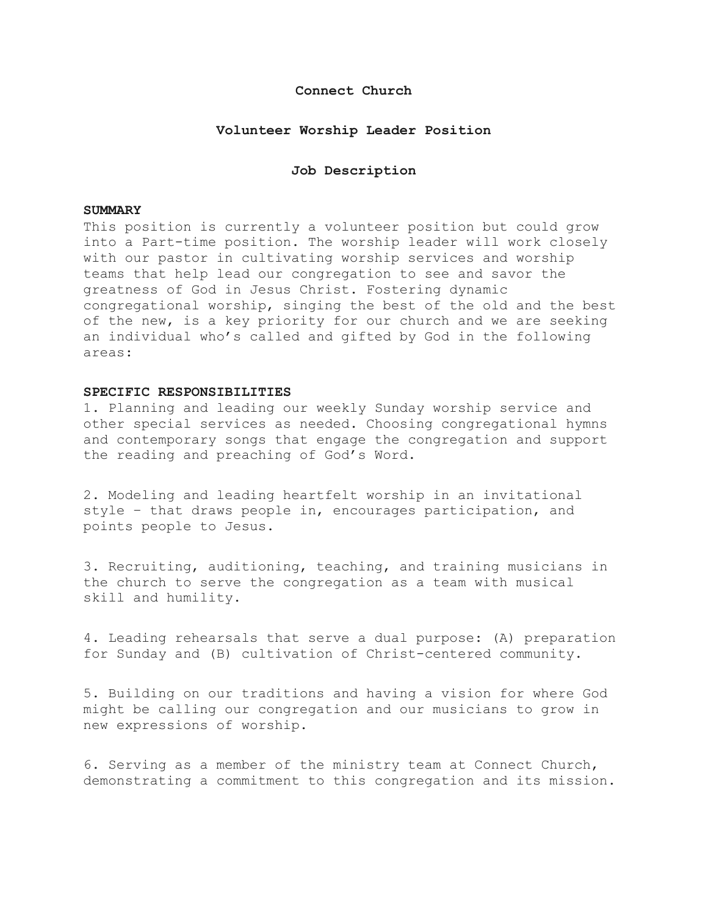# **Connect Church**

## **Volunteer Worship Leader Position**

## **Job Description**

#### **SUMMARY**

This position is currently a volunteer position but could grow into a Part-time position. The worship leader will work closely with our pastor in cultivating worship services and worship teams that help lead our congregation to see and savor the greatness of God in Jesus Christ. Fostering dynamic congregational worship, singing the best of the old and the best of the new, is a key priority for our church and we are seeking an individual who's called and gifted by God in the following areas:

#### **SPECIFIC RESPONSIBILITIES**

1. Planning and leading our weekly Sunday worship service and other special services as needed. Choosing congregational hymns and contemporary songs that engage the congregation and support the reading and preaching of God's Word.

2. Modeling and leading heartfelt worship in an invitational style – that draws people in, encourages participation, and points people to Jesus.

3. Recruiting, auditioning, teaching, and training musicians in the church to serve the congregation as a team with musical skill and humility.

4. Leading rehearsals that serve a dual purpose: (A) preparation for Sunday and (B) cultivation of Christ-centered community.

5. Building on our traditions and having a vision for where God might be calling our congregation and our musicians to grow in new expressions of worship.

6. Serving as a member of the ministry team at Connect Church, demonstrating a commitment to this congregation and its mission.